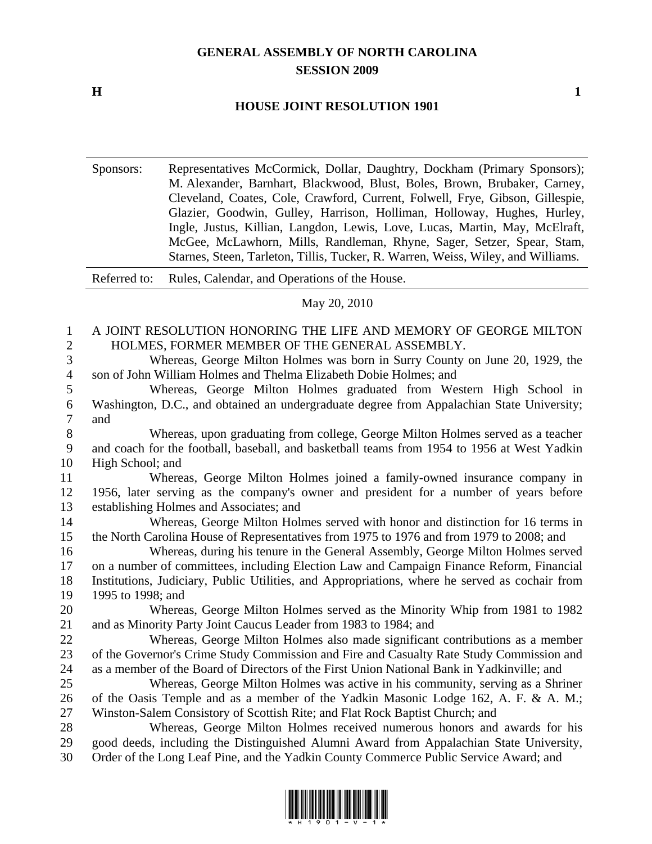## **GENERAL ASSEMBLY OF NORTH CAROLINA SESSION 2009**

**H** 1

## **HOUSE JOINT RESOLUTION 1901**

Sponsors: Representatives McCormick, Dollar, Daughtry, Dockham (Primary Sponsors); M. Alexander, Barnhart, Blackwood, Blust, Boles, Brown, Brubaker, Carney, Cleveland, Coates, Cole, Crawford, Current, Folwell, Frye, Gibson, Gillespie, Glazier, Goodwin, Gulley, Harrison, Holliman, Holloway, Hughes, Hurley, Ingle, Justus, Killian, Langdon, Lewis, Love, Lucas, Martin, May, McElraft, McGee, McLawhorn, Mills, Randleman, Rhyne, Sager, Setzer, Spear, Stam, Starnes, Steen, Tarleton, Tillis, Tucker, R. Warren, Weiss, Wiley, and Williams.

Referred to: Rules, Calendar, and Operations of the House.

## May 20, 2010

## 1 A JOINT RESOLUTION HONORING THE LIFE AND MEMORY OF GEORGE MILTON 2 HOLMES, FORMER MEMBER OF THE GENERAL ASSEMBLY. 3 Whereas, George Milton Holmes was born in Surry County on June 20, 1929, the 4 son of John William Holmes and Thelma Elizabeth Dobie Holmes; and

5 Whereas, George Milton Holmes graduated from Western High School in 6 Washington, D.C., and obtained an undergraduate degree from Appalachian State University; 7 and

8 Whereas, upon graduating from college, George Milton Holmes served as a teacher 9 and coach for the football, baseball, and basketball teams from 1954 to 1956 at West Yadkin 10 High School; and

11 Whereas, George Milton Holmes joined a family-owned insurance company in 12 1956, later serving as the company's owner and president for a number of years before 13 establishing Holmes and Associates; and

14 Whereas, George Milton Holmes served with honor and distinction for 16 terms in 15 the North Carolina House of Representatives from 1975 to 1976 and from 1979 to 2008; and

16 Whereas, during his tenure in the General Assembly, George Milton Holmes served 17 on a number of committees, including Election Law and Campaign Finance Reform, Financial 18 Institutions, Judiciary, Public Utilities, and Appropriations, where he served as cochair from 19 1995 to 1998; and

20 Whereas, George Milton Holmes served as the Minority Whip from 1981 to 1982 21 and as Minority Party Joint Caucus Leader from 1983 to 1984; and

22 Whereas, George Milton Holmes also made significant contributions as a member 23 of the Governor's Crime Study Commission and Fire and Casualty Rate Study Commission and 24 as a member of the Board of Directors of the First Union National Bank in Yadkinville; and

25 Whereas, George Milton Holmes was active in his community, serving as a Shriner 26 of the Oasis Temple and as a member of the Yadkin Masonic Lodge 162, A. F. & A. M.; 27 Winston-Salem Consistory of Scottish Rite; and Flat Rock Baptist Church; and

28 Whereas, George Milton Holmes received numerous honors and awards for his 29 good deeds, including the Distinguished Alumni Award from Appalachian State University, 30 Order of the Long Leaf Pine, and the Yadkin County Commerce Public Service Award; and